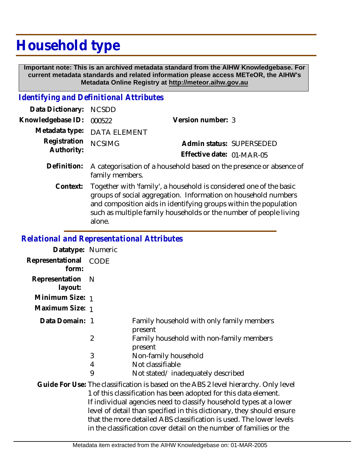# **Household type**

 **Important note: This is an archived metadata standard from the AIHW Knowledgebase. For current metadata standards and related information please access METeOR, the AIHW's Metadata Online Registry at http://meteor.aihw.gov.au**

### *Identifying and Definitional Attributes*

| Data Dictionary: NCSDD            |                             |                           |                          |
|-----------------------------------|-----------------------------|---------------------------|--------------------------|
| Knowledgebase ID: 000522          |                             | Version number: 3         |                          |
|                                   | Metadata type: DATA ELEMENT |                           |                          |
| Registration NCSIMG<br>Authority: |                             |                           | Admin status: SUPERSEDED |
|                                   |                             | Effective date: 01-MAR-05 |                          |
|                                   |                             |                           |                          |

- Definition: A categorisation of a household based on the presence or absence of family members.
	- Together with 'family', a household is considered one of the basic groups of social aggregation. Information on household numbers and composition aids in identifying groups within the population such as multiple family households or the number of people living alone. **Context:**

#### *Relational and Representational Attributes*

| Datatype: Numeric         |                |                                                                                                                                                                                                                                                                                                                                                                                                                                                      |
|---------------------------|----------------|------------------------------------------------------------------------------------------------------------------------------------------------------------------------------------------------------------------------------------------------------------------------------------------------------------------------------------------------------------------------------------------------------------------------------------------------------|
| Representational<br>form: | <b>CODE</b>    |                                                                                                                                                                                                                                                                                                                                                                                                                                                      |
| Representation<br>layout: | <sup>N</sup>   |                                                                                                                                                                                                                                                                                                                                                                                                                                                      |
| Minimum Size: 1           |                |                                                                                                                                                                                                                                                                                                                                                                                                                                                      |
| Maximum Size: 1           |                |                                                                                                                                                                                                                                                                                                                                                                                                                                                      |
| Data Domain: 1            |                | Family household with only family members<br>present                                                                                                                                                                                                                                                                                                                                                                                                 |
|                           | $\overline{2}$ | Family household with non-family members<br>present                                                                                                                                                                                                                                                                                                                                                                                                  |
|                           | 3              | Non-family household                                                                                                                                                                                                                                                                                                                                                                                                                                 |
|                           | 4              | Not classifiable                                                                                                                                                                                                                                                                                                                                                                                                                                     |
|                           | 9              | Not stated/inadequately described                                                                                                                                                                                                                                                                                                                                                                                                                    |
|                           |                | Guide For Use: The classification is based on the ABS 2 level hierarchy. Only level<br>1 of this classification has been adopted for this data element.<br>If individual agencies need to classify household types at a lower<br>level of detail than specified in this dictionary, they should ensure<br>that the more detailed ABS classification is used. The lower levels<br>in the classification cover detail on the number of families or the |